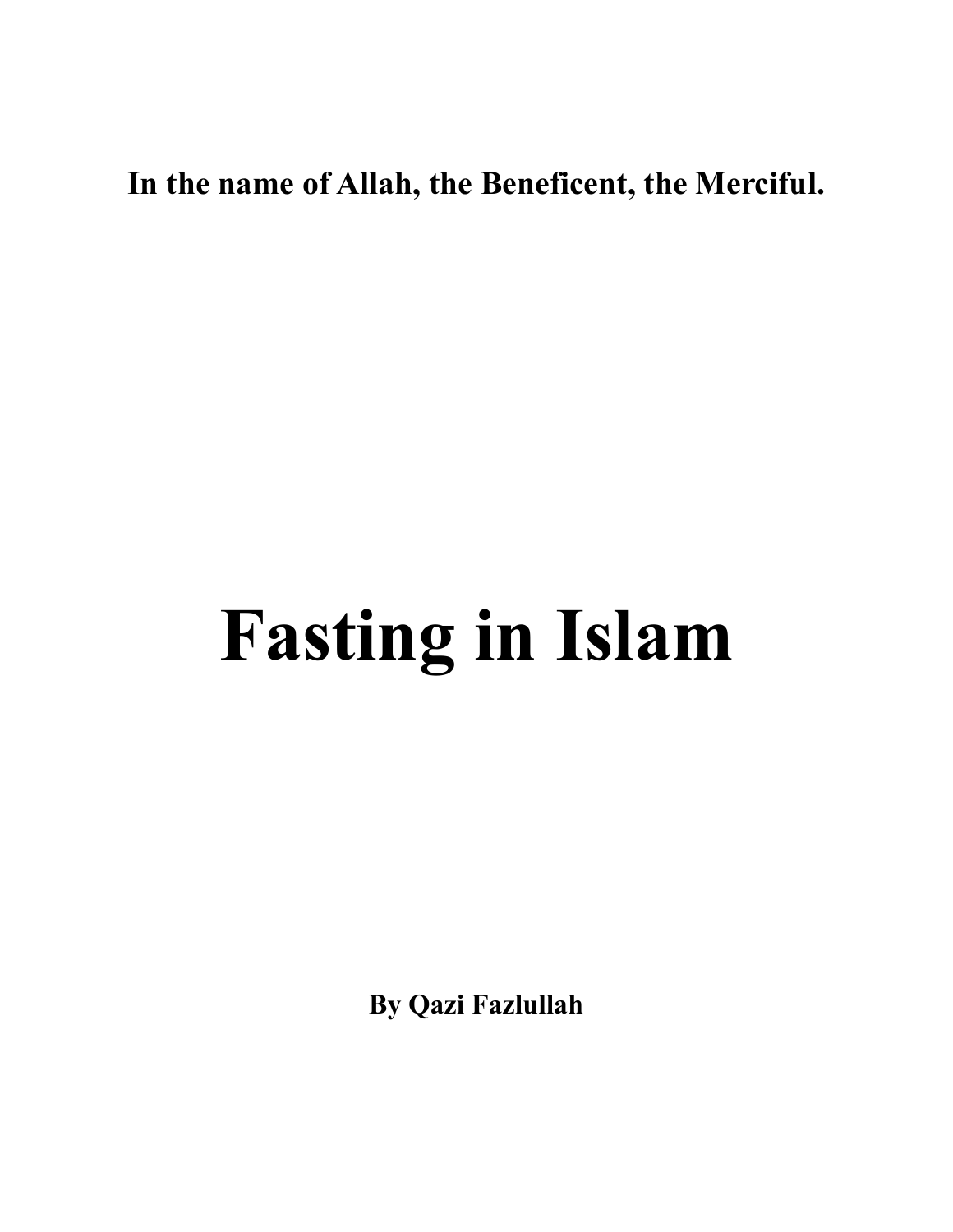# **In the name of Allah, the Beneficent, the Merciful.**

# **Fasting in Islam**

**By Qazi Fazlullah**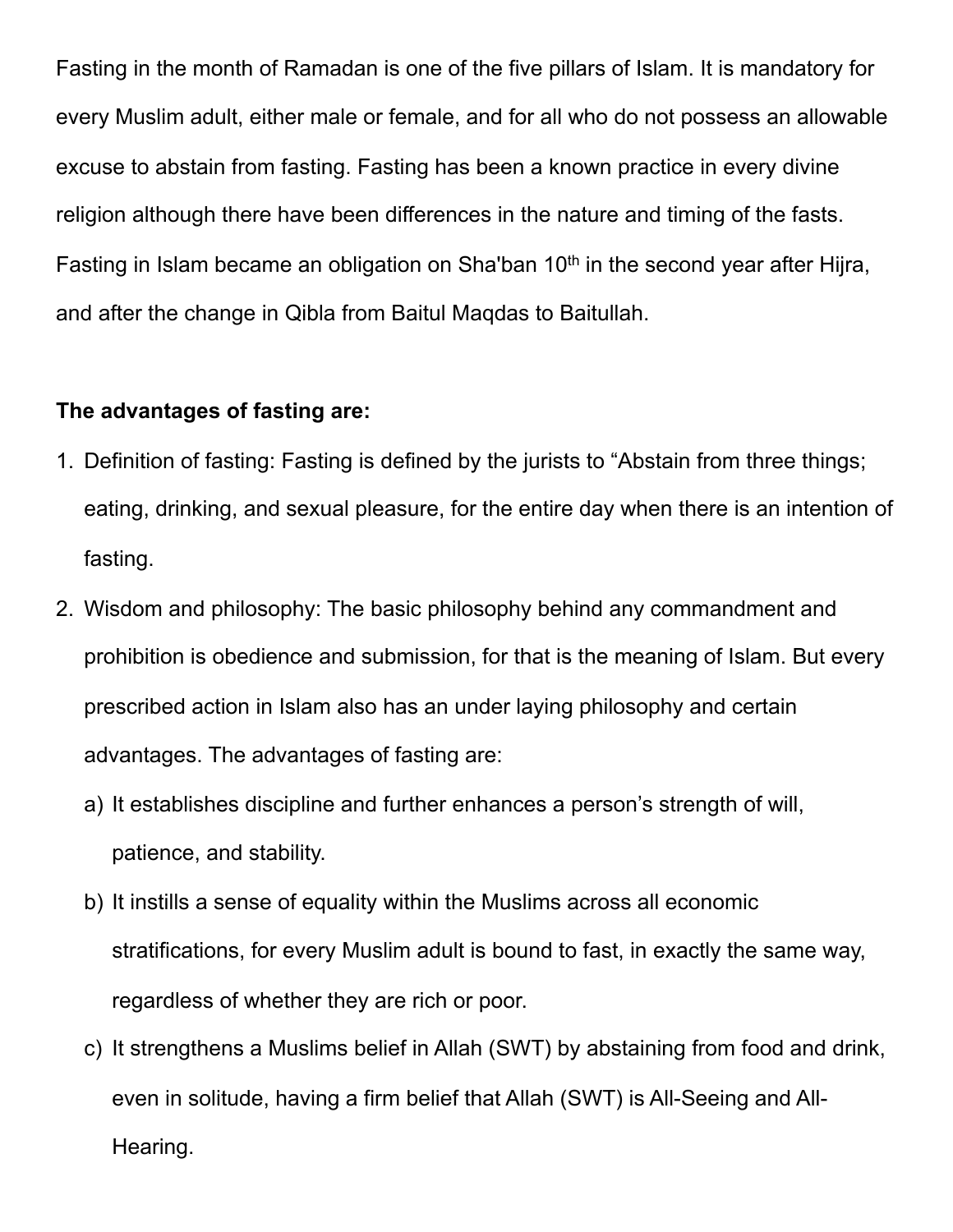Fasting in the month of Ramadan is one of the five pillars of Islam. It is mandatory for every Muslim adult, either male or female, and for all who do not possess an allowable excuse to abstain from fasting. Fasting has been a known practice in every divine religion although there have been differences in the nature and timing of the fasts. Fasting in Islam became an obligation on Sha'ban  $10<sup>th</sup>$  in the second year after Hijra, and after the change in Qibla from Baitul Maqdas to Baitullah.

#### **The advantages of fasting are:**

- 1. Definition of fasting: Fasting is defined by the jurists to "Abstain from three things; eating, drinking, and sexual pleasure, for the entire day when there is an intention of fasting.
- 2. Wisdom and philosophy: The basic philosophy behind any commandment and prohibition is obedience and submission, for that is the meaning of Islam. But every prescribed action in Islam also has an under laying philosophy and certain advantages. The advantages of fasting are:
	- a) It establishes discipline and further enhances a person's strength of will, patience, and stability.
	- b) It instills a sense of equality within the Muslims across all economic stratifications, for every Muslim adult is bound to fast, in exactly the same way, regardless of whether they are rich or poor.
	- c) It strengthens a Muslims belief in Allah (SWT) by abstaining from food and drink, even in solitude, having a firm belief that Allah (SWT) is All-Seeing and All-Hearing.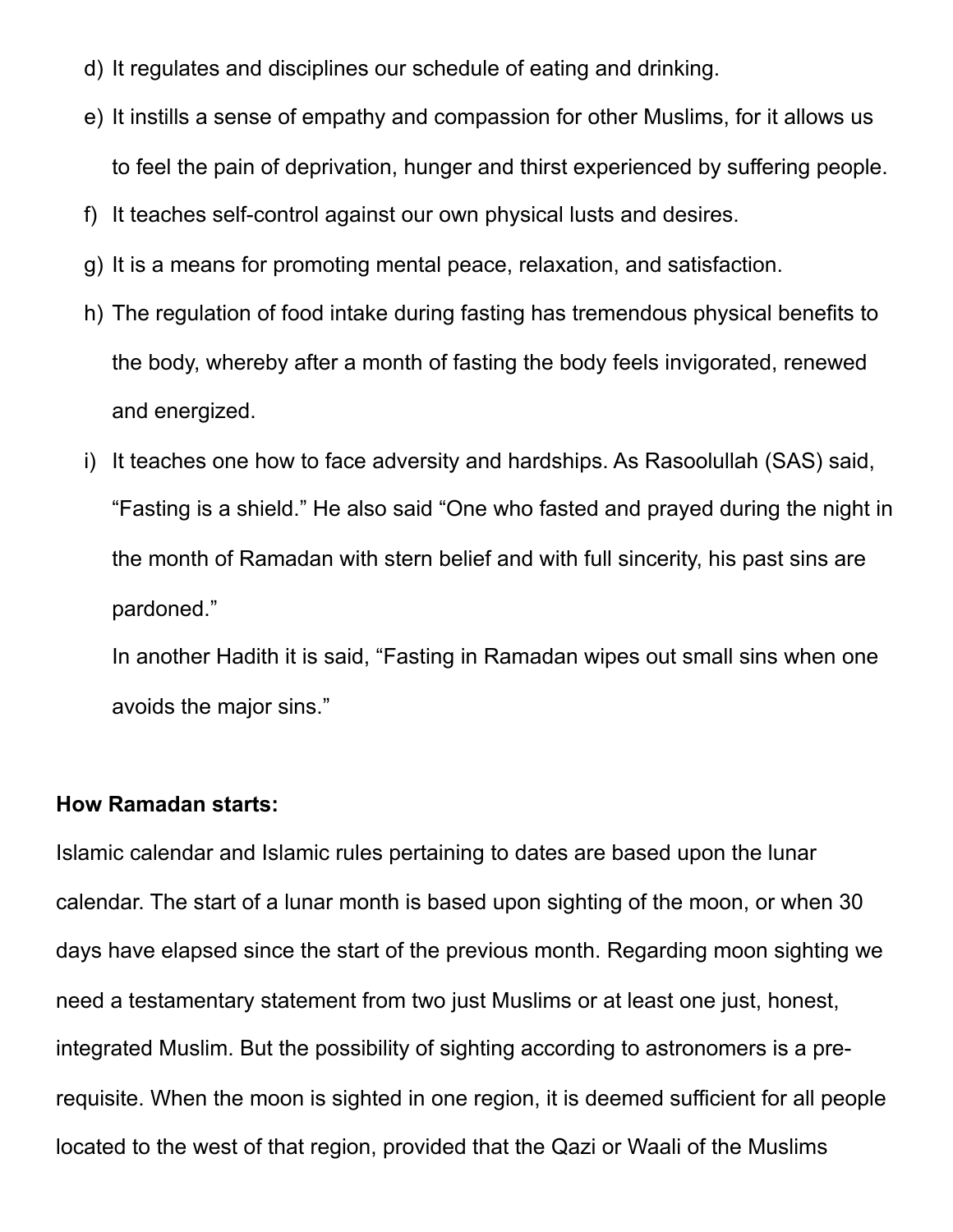- d) It regulates and disciplines our schedule of eating and drinking.
- e) It instills a sense of empathy and compassion for other Muslims, for it allows us to feel the pain of deprivation, hunger and thirst experienced by suffering people.
- f) It teaches self-control against our own physical lusts and desires.
- g) It is a means for promoting mental peace, relaxation, and satisfaction.
- h) The regulation of food intake during fasting has tremendous physical benefits to the body, whereby after a month of fasting the body feels invigorated, renewed and energized.
- i) It teaches one how to face adversity and hardships. As Rasoolullah (SAS) said, "Fasting is a shield." He also said "One who fasted and prayed during the night in the month of Ramadan with stern belief and with full sincerity, his past sins are pardoned."

In another Hadith it is said, "Fasting in Ramadan wipes out small sins when one avoids the major sins."

#### **How Ramadan starts:**

Islamic calendar and Islamic rules pertaining to dates are based upon the lunar calendar. The start of a lunar month is based upon sighting of the moon, or when 30 days have elapsed since the start of the previous month. Regarding moon sighting we need a testamentary statement from two just Muslims or at least one just, honest, integrated Muslim. But the possibility of sighting according to astronomers is a prerequisite. When the moon is sighted in one region, it is deemed sufficient for all people located to the west of that region, provided that the Qazi or Waali of the Muslims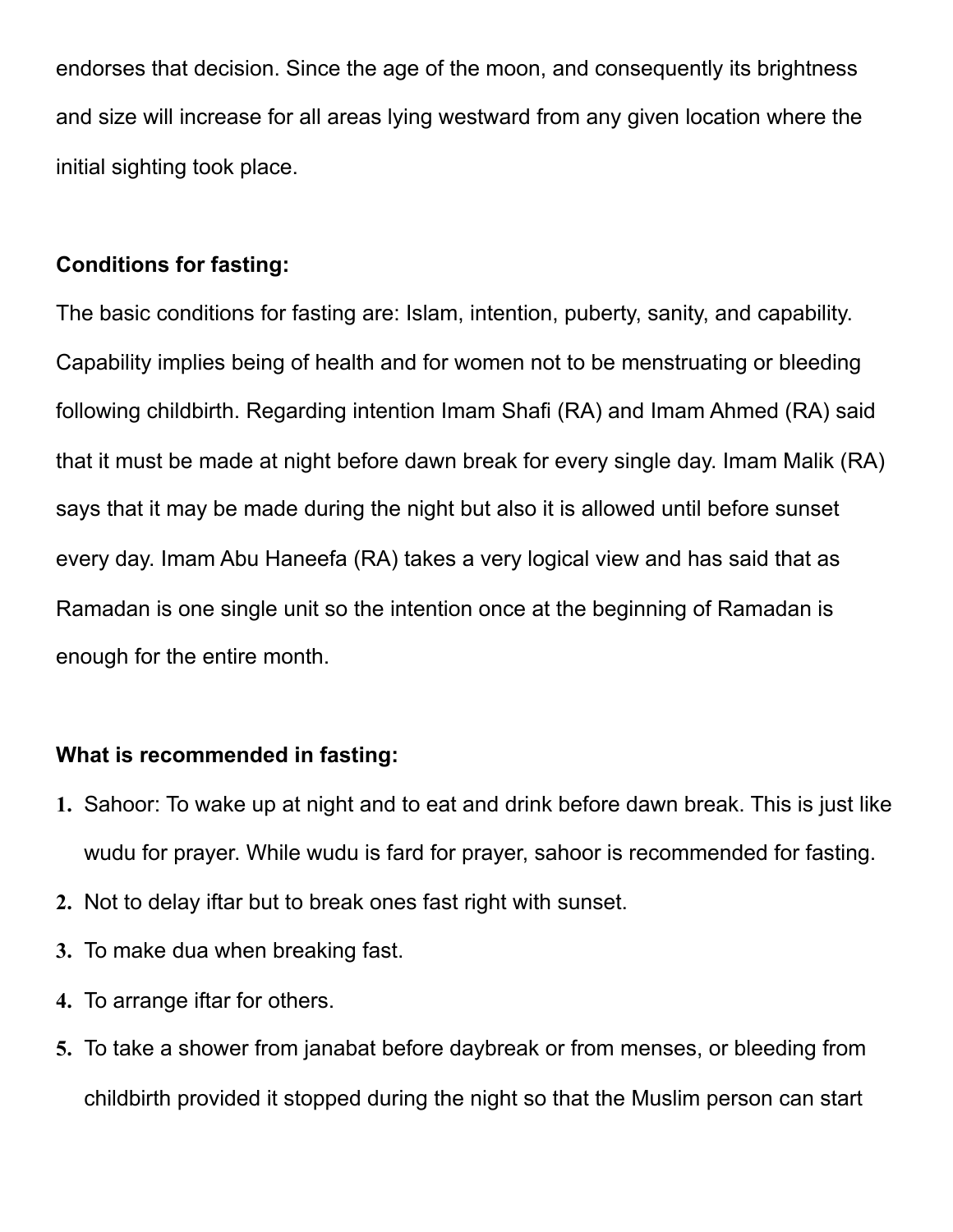endorses that decision. Since the age of the moon, and consequently its brightness and size will increase for all areas lying westward from any given location where the initial sighting took place.

#### **Conditions for fasting:**

The basic conditions for fasting are: Islam, intention, puberty, sanity, and capability. Capability implies being of health and for women not to be menstruating or bleeding following childbirth. Regarding intention Imam Shafi (RA) and Imam Ahmed (RA) said that it must be made at night before dawn break for every single day. Imam Malik (RA) says that it may be made during the night but also it is allowed until before sunset every day. Imam Abu Haneefa (RA) takes a very logical view and has said that as Ramadan is one single unit so the intention once at the beginning of Ramadan is enough for the entire month.

### **What is recommended in fasting:**

- **1.** Sahoor: To wake up at night and to eat and drink before dawn break. This is just like wudu for prayer. While wudu is fard for prayer, sahoor is recommended for fasting.
- **2.** Not to delay iftar but to break ones fast right with sunset.
- **3.** To make dua when breaking fast.
- **4.** To arrange iftar for others.
- **5.** To take a shower from janabat before daybreak or from menses, or bleeding from childbirth provided it stopped during the night so that the Muslim person can start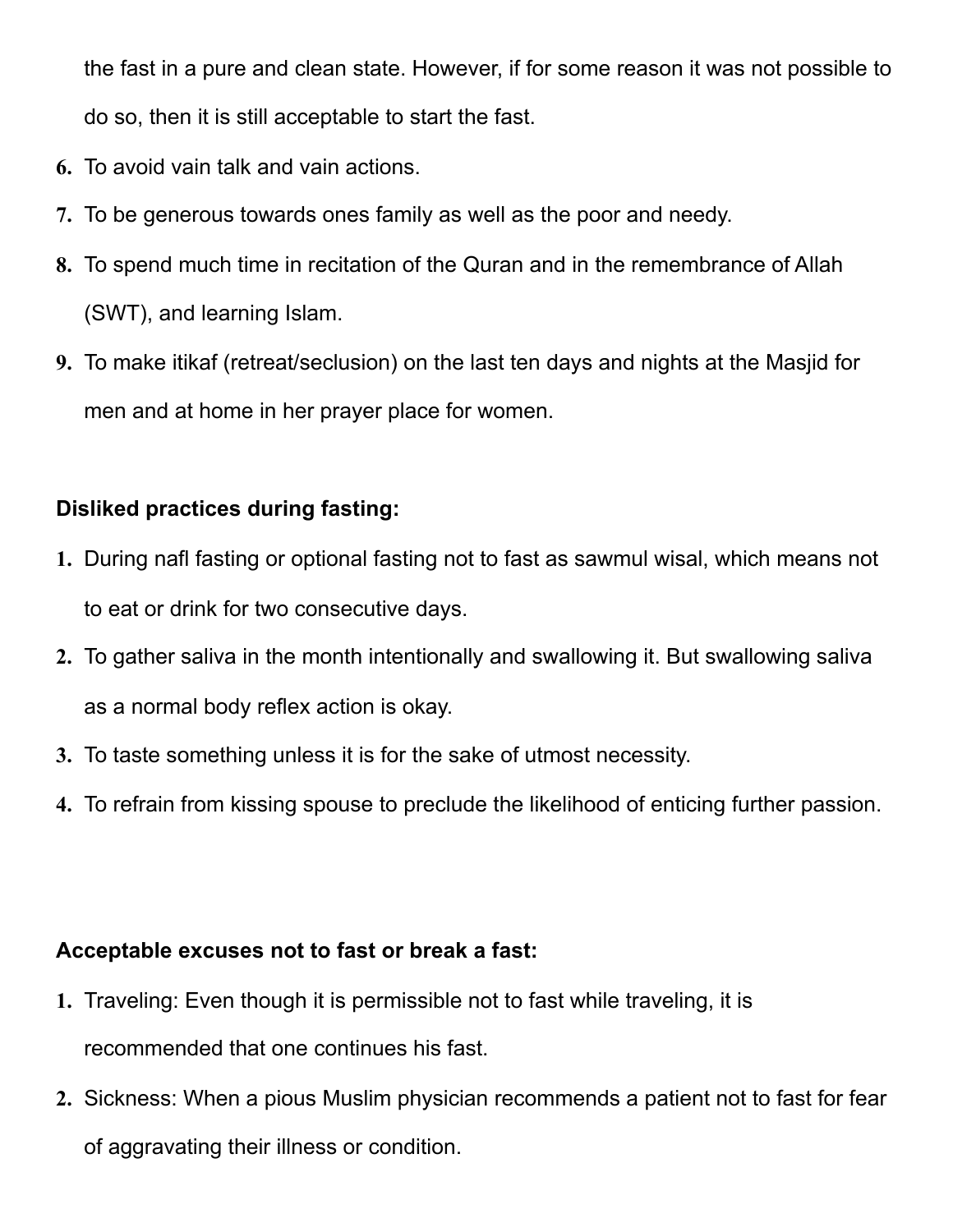the fast in a pure and clean state. However, if for some reason it was not possible to do so, then it is still acceptable to start the fast.

- **6.** To avoid vain talk and vain actions.
- **7.** To be generous towards ones family as well as the poor and needy.
- **8.** To spend much time in recitation of the Quran and in the remembrance of Allah (SWT), and learning Islam.
- **9.** To make itikaf (retreat/seclusion) on the last ten days and nights at the Masjid for men and at home in her prayer place for women.

# **Disliked practices during fasting:**

- **1.** During nafl fasting or optional fasting not to fast as sawmul wisal, which means not to eat or drink for two consecutive days.
- **2.** To gather saliva in the month intentionally and swallowing it. But swallowing saliva as a normal body reflex action is okay.
- **3.** To taste something unless it is for the sake of utmost necessity.
- **4.** To refrain from kissing spouse to preclude the likelihood of enticing further passion.

# **Acceptable excuses not to fast or break a fast:**

- **1.** Traveling: Even though it is permissible not to fast while traveling, it is recommended that one continues his fast.
- **2.** Sickness: When a pious Muslim physician recommends a patient not to fast for fear of aggravating their illness or condition.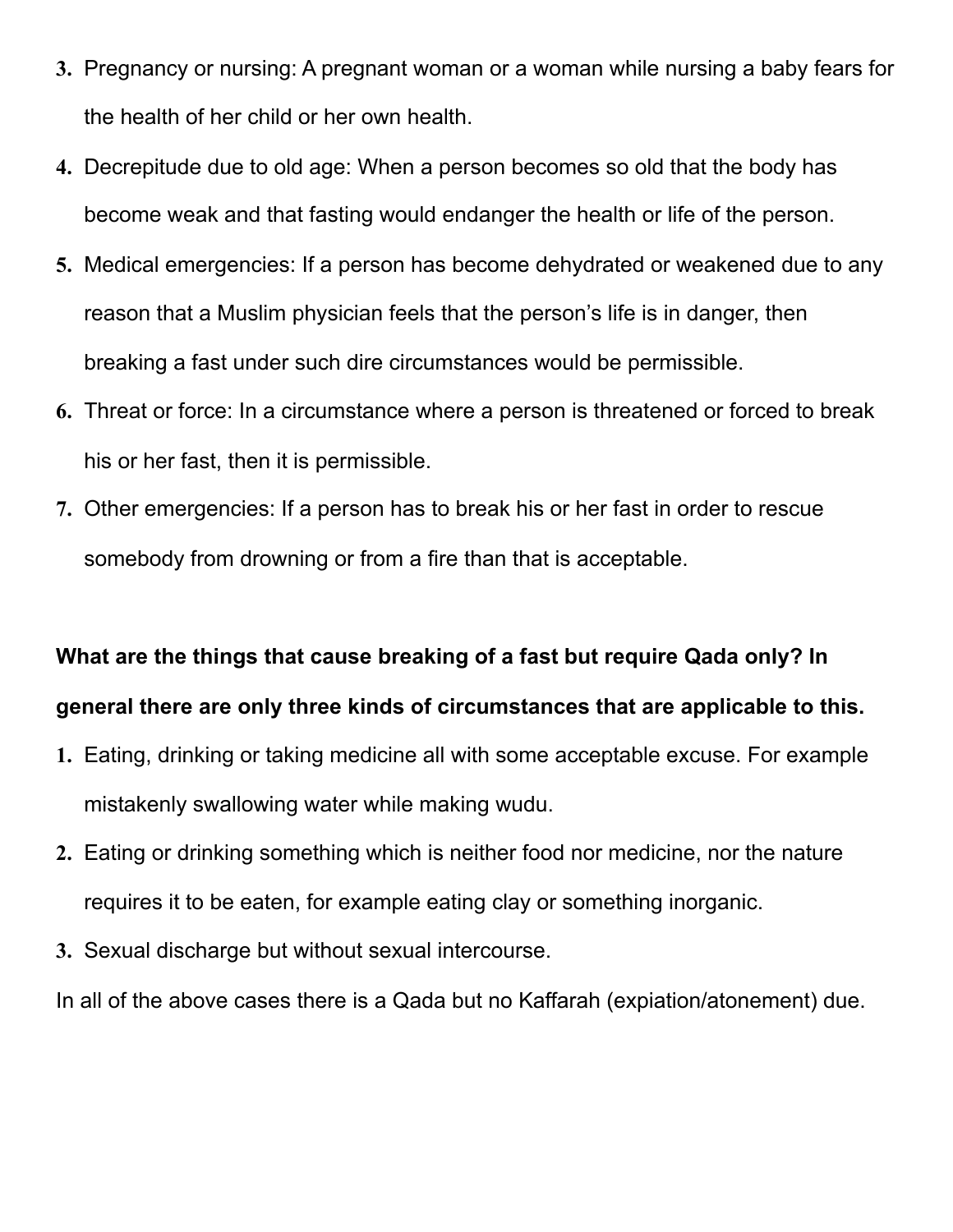- **3.** Pregnancy or nursing: A pregnant woman or a woman while nursing a baby fears for the health of her child or her own health.
- **4.** Decrepitude due to old age: When a person becomes so old that the body has become weak and that fasting would endanger the health or life of the person.
- **5.** Medical emergencies: If a person has become dehydrated or weakened due to any reason that a Muslim physician feels that the person's life is in danger, then breaking a fast under such dire circumstances would be permissible.
- **6.** Threat or force: In a circumstance where a person is threatened or forced to break his or her fast, then it is permissible.
- **7.** Other emergencies: If a person has to break his or her fast in order to rescue somebody from drowning or from a fire than that is acceptable.

### **What are the things that cause breaking of a fast but require Qada only? In**

### **general there are only three kinds of circumstances that are applicable to this.**

- **1.** Eating, drinking or taking medicine all with some acceptable excuse. For example mistakenly swallowing water while making wudu.
- **2.** Eating or drinking something which is neither food nor medicine, nor the nature requires it to be eaten, for example eating clay or something inorganic.
- **3.** Sexual discharge but without sexual intercourse.

In all of the above cases there is a Qada but no Kaffarah (expiation/atonement) due.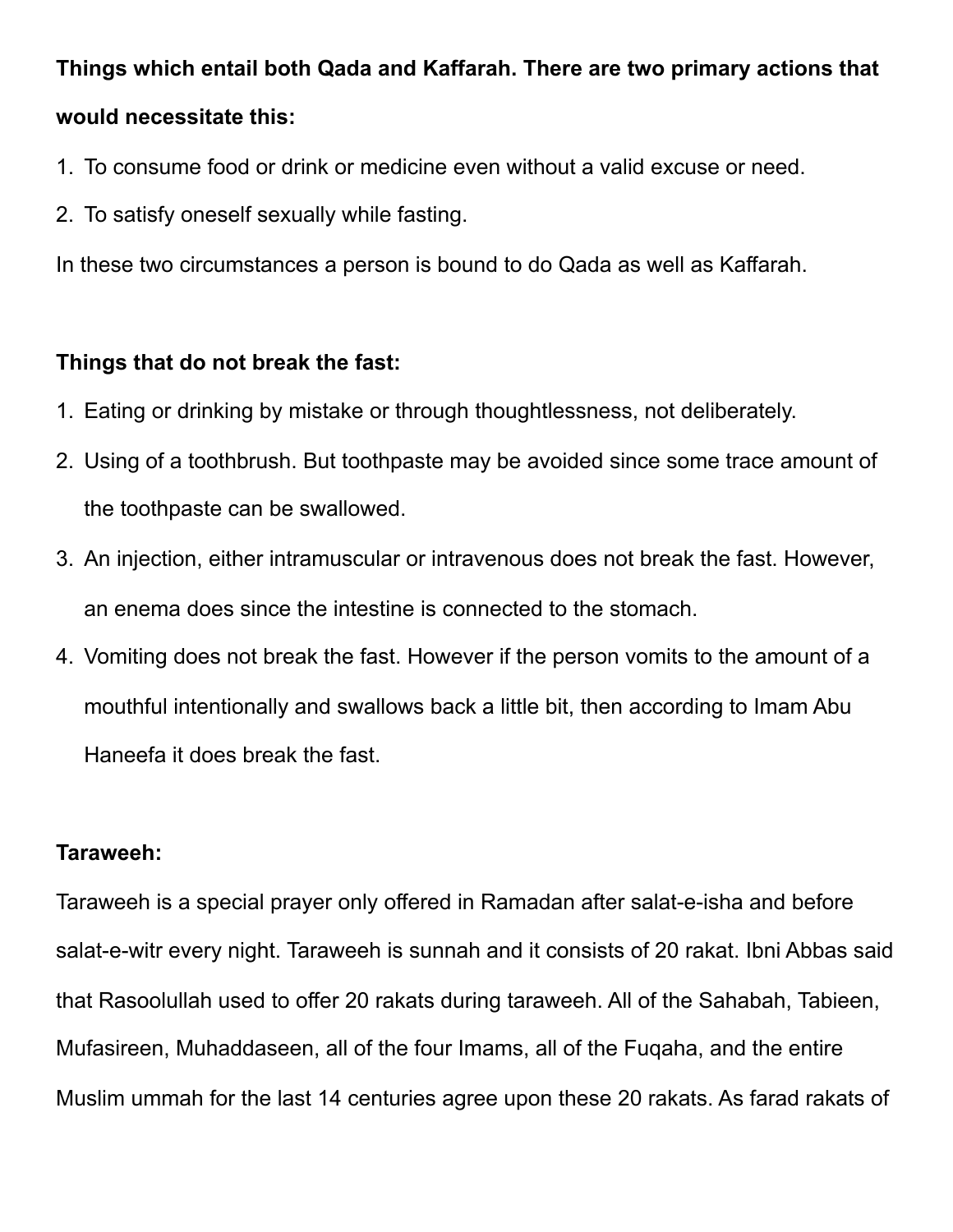# **Things which entail both Qada and Kaffarah. There are two primary actions that would necessitate this:**

- 1. To consume food or drink or medicine even without a valid excuse or need.
- 2. To satisfy oneself sexually while fasting.

In these two circumstances a person is bound to do Qada as well as Kaffarah.

# **Things that do not break the fast:**

- 1. Eating or drinking by mistake or through thoughtlessness, not deliberately.
- 2. Using of a toothbrush. But toothpaste may be avoided since some trace amount of the toothpaste can be swallowed.
- 3. An injection, either intramuscular or intravenous does not break the fast. However, an enema does since the intestine is connected to the stomach.
- 4. Vomiting does not break the fast. However if the person vomits to the amount of a mouthful intentionally and swallows back a little bit, then according to Imam Abu Haneefa it does break the fast.

# **Taraweeh:**

Taraweeh is a special prayer only offered in Ramadan after salat-e-isha and before salat-e-witr every night. Taraweeh is sunnah and it consists of 20 rakat. Ibni Abbas said that Rasoolullah used to offer 20 rakats during taraweeh. All of the Sahabah, Tabieen, Mufasireen, Muhaddaseen, all of the four Imams, all of the Fuqaha, and the entire Muslim ummah for the last 14 centuries agree upon these 20 rakats. As farad rakats of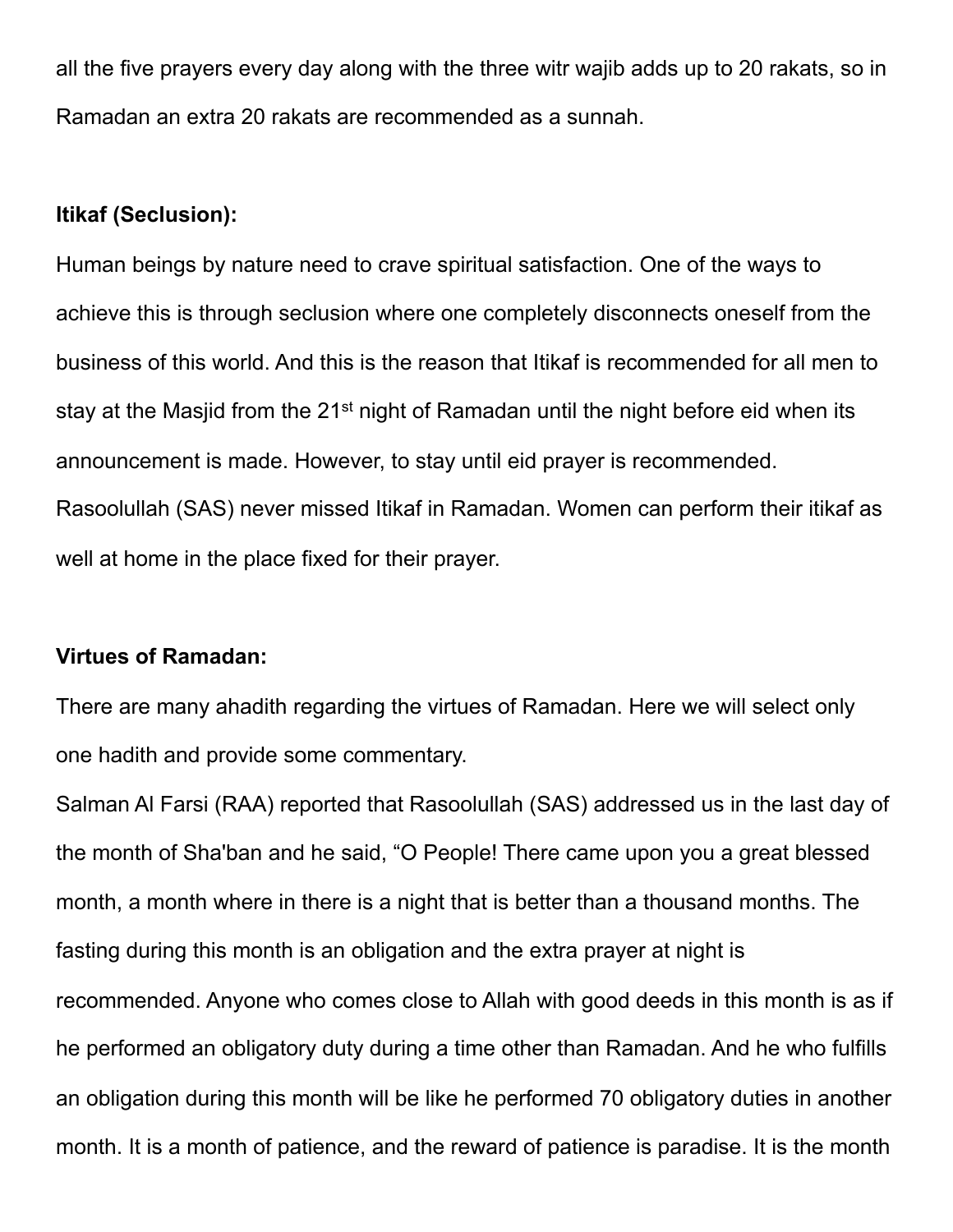all the five prayers every day along with the three witr wajib adds up to 20 rakats, so in Ramadan an extra 20 rakats are recommended as a sunnah.

#### **Itikaf (Seclusion):**

Human beings by nature need to crave spiritual satisfaction. One of the ways to achieve this is through seclusion where one completely disconnects oneself from the business of this world. And this is the reason that Itikaf is recommended for all men to stay at the Masjid from the  $21<sup>st</sup>$  night of Ramadan until the night before eid when its announcement is made. However, to stay until eid prayer is recommended. Rasoolullah (SAS) never missed Itikaf in Ramadan. Women can perform their itikaf as well at home in the place fixed for their prayer.

#### **Virtues of Ramadan:**

There are many ahadith regarding the virtues of Ramadan. Here we will select only one hadith and provide some commentary.

Salman Al Farsi (RAA) reported that Rasoolullah (SAS) addressed us in the last day of the month of Sha'ban and he said, "O People! There came upon you a great blessed month, a month where in there is a night that is better than a thousand months. The fasting during this month is an obligation and the extra prayer at night is recommended. Anyone who comes close to Allah with good deeds in this month is as if he performed an obligatory duty during a time other than Ramadan. And he who fulfills an obligation during this month will be like he performed 70 obligatory duties in another month. It is a month of patience, and the reward of patience is paradise. It is the month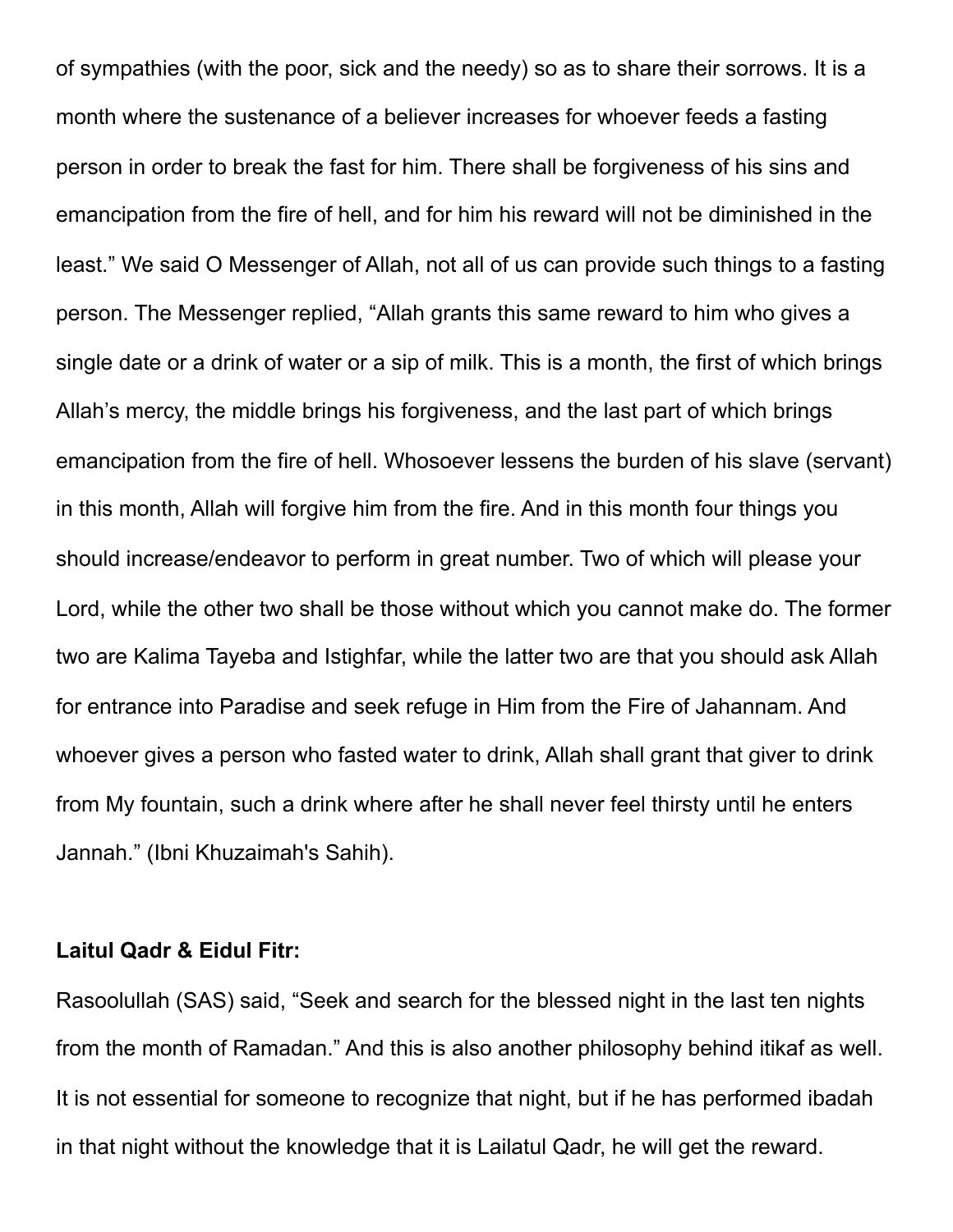of sympathies (with the poor, sick and the needy) so as to share their sorrows. It is a month where the sustenance of a believer increases for whoever feeds a fasting person in order to break the fast for him. There shall be forgiveness of his sins and emancipation from the fire of hell, and for him his reward will not be diminished in the least." We said O Messenger of Allah, not all of us can provide such things to a fasting person. The Messenger replied, "Allah grants this same reward to him who gives a single date or a drink of water or a sip of milk. This is a month, the first of which brings Allah's mercy, the middle brings his forgiveness, and the last part of which brings emancipation from the fire of hell. Whosoever lessens the burden of his slave (servant) in this month, Allah will forgive him from the fire. And in this month four things you should increase/endeavor to perform in great number. Two of which will please your Lord, while the other two shall be those without which you cannot make do. The former two are Kalima Tayeba and Istighfar, while the latter two are that you should ask Allah for entrance into Paradise and seek refuge in Him from the Fire of Jahannam. And whoever gives a person who fasted water to drink, Allah shall grant that giver to drink from My fountain, such a drink where after he shall never feel thirsty until he enters Jannah." (Ibni Khuzaimah's Sahih).

#### **Laitul Qadr & Eidul Fitr:**

Rasoolullah (SAS) said, "Seek and search for the blessed night in the last ten nights from the month of Ramadan." And this is also another philosophy behind itikaf as well. It is not essential for someone to recognize that night, but if he has performed ibadah in that night without the knowledge that it is Lailatul Qadr, he will get the reward.